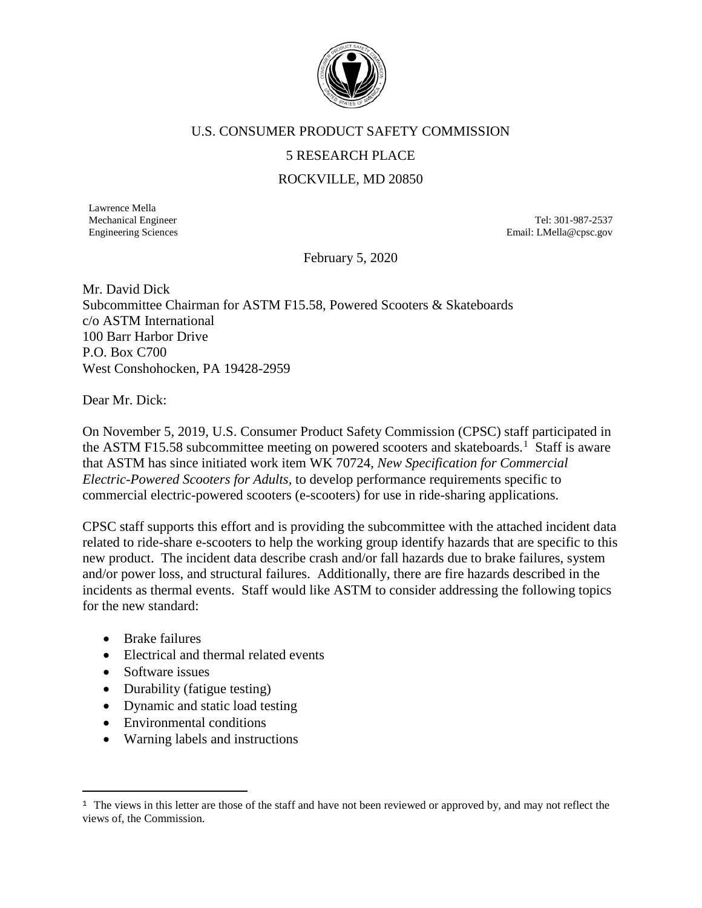

## U.S. CONSUMER PRODUCT SAFETY COMMISSION

## 5 RESEARCH PLACE

## ROCKVILLE, MD 20850

Lawrence Mella

Mechanical Engineer Tel: 301-987-2537 Engineering Sciences **Email:** LMella@cpsc.gov

February 5, 2020

Mr. David Dick Subcommittee Chairman for ASTM F15.58, Powered Scooters & Skateboards c/o ASTM International 100 Barr Harbor Drive P.O. Box C700 West Conshohocken, PA 19428-2959

Dear Mr. Dick:

On November 5, 2019, U.S. Consumer Product Safety Commission (CPSC) staff participated in the ASTM F[1](#page-0-0)5.58 subcommittee meeting on powered scooters and skateboards.<sup>1</sup> Staff is aware that ASTM has since initiated work item WK 70724, *New Specification for Commercial Electric-Powered Scooters for Adults,* to develop performance requirements specific to commercial electric-powered scooters (e-scooters) for use in ride-sharing applications.

CPSC staff supports this effort and is providing the subcommittee with the attached incident data related to ride-share e-scooters to help the working group identify hazards that are specific to this new product. The incident data describe crash and/or fall hazards due to brake failures, system and/or power loss, and structural failures. Additionally, there are fire hazards described in the incidents as thermal events. Staff would like ASTM to consider addressing the following topics for the new standard:

- Brake failures
- Electrical and thermal related events
- Software issues
- Durability (fatigue testing)
- Dynamic and static load testing
- Environmental conditions
- Warning labels and instructions

<span id="page-0-0"></span>ī <sup>1</sup> The views in this letter are those of the staff and have not been reviewed or approved by, and may not reflect the views of, the Commission.